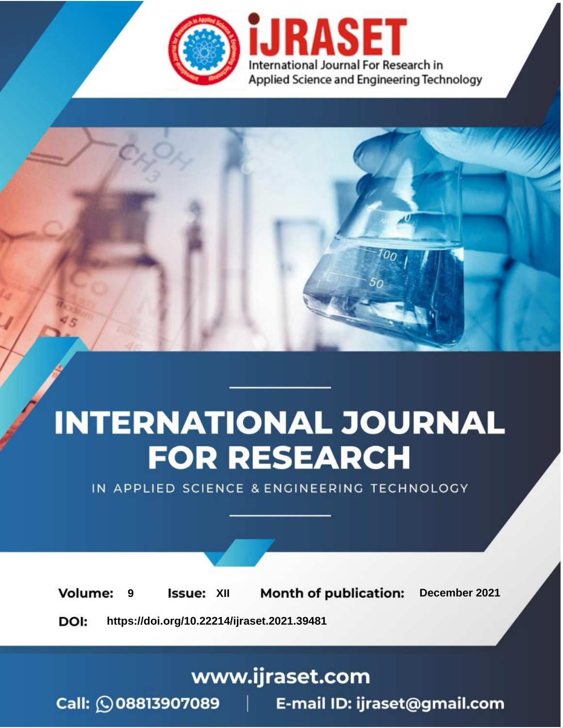

# **INTERNATIONAL JOURNAL FOR RESEARCH**

IN APPLIED SCIENCE & ENGINEERING TECHNOLOGY

**Month of publication: Volume: Issue: XII** December 2021 9 DOI: https://doi.org/10.22214/ijraset.2021.39481

www.ijraset.com

Call: 008813907089 | E-mail ID: ijraset@gmail.com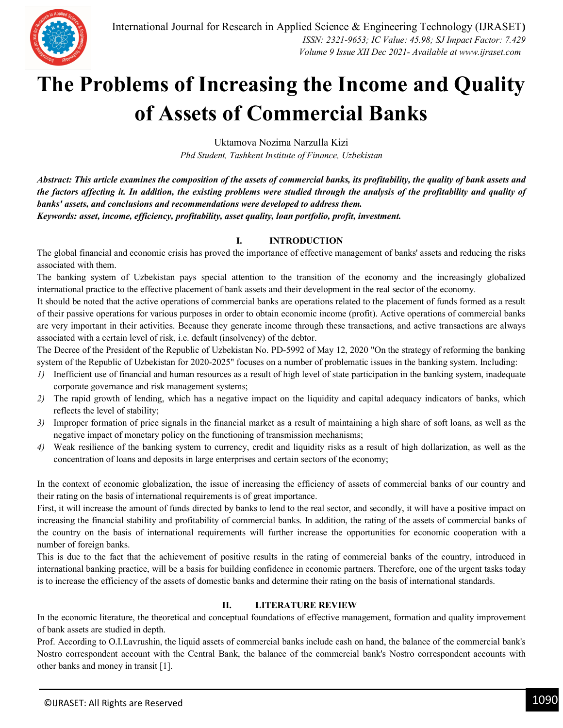

### **The Problems of Increasing the Income and Quality of Assets of Commercial Banks**

Uktamova Nozima Narzulla Kizi *Phd Student, Tashkent Institute of Finance, Uzbekistan*

*Abstract: This article examines the composition of the assets of commercial banks, its profitability, the quality of bank assets and the factors affecting it. In addition, the existing problems were studied through the analysis of the profitability and quality of banks' assets, and conclusions and recommendations were developed to address them. Keywords: asset, income, efficiency, profitability, asset quality, loan portfolio, profit, investment.*

#### **I. INTRODUCTION**

The global financial and economic crisis has proved the importance of effective management of banks' assets and reducing the risks associated with them.

The banking system of Uzbekistan pays special attention to the transition of the economy and the increasingly globalized international practice to the effective placement of bank assets and their development in the real sector of the economy.

It should be noted that the active operations of commercial banks are operations related to the placement of funds formed as a result of their passive operations for various purposes in order to obtain economic income (profit). Active operations of commercial banks are very important in their activities. Because they generate income through these transactions, and active transactions are always associated with a certain level of risk, i.e. default (insolvency) of the debtor.

The Decree of the President of the Republic of Uzbekistan No. PD-5992 of May 12, 2020 "On the strategy of reforming the banking system of the Republic of Uzbekistan for 2020-2025" focuses on a number of problematic issues in the banking system. Including:

- *1*) Inefficient use of financial and human resources as a result of high level of state participation in the banking system, inadequate corporate governance and risk management systems;
- *2)* The rapid growth of lending, which has a negative impact on the liquidity and capital adequacy indicators of banks, which reflects the level of stability;
- *3)* Improper formation of price signals in the financial market as a result of maintaining a high share of soft loans, as well as the negative impact of monetary policy on the functioning of transmission mechanisms;
- *4)* Weak resilience of the banking system to currency, credit and liquidity risks as a result of high dollarization, as well as the concentration of loans and deposits in large enterprises and certain sectors of the economy;

In the context of economic globalization, the issue of increasing the efficiency of assets of commercial banks of our country and their rating on the basis of international requirements is of great importance.

First, it will increase the amount of funds directed by banks to lend to the real sector, and secondly, it will have a positive impact on increasing the financial stability and profitability of commercial banks. In addition, the rating of the assets of commercial banks of the country on the basis of international requirements will further increase the opportunities for economic cooperation with a number of foreign banks.

This is due to the fact that the achievement of positive results in the rating of commercial banks of the country, introduced in international banking practice, will be a basis for building confidence in economic partners. Therefore, one of the urgent tasks today is to increase the efficiency of the assets of domestic banks and determine their rating on the basis of international standards.

#### **II. LITERATURE REVIEW**

In the economic literature, the theoretical and conceptual foundations of effective management, formation and quality improvement of bank assets are studied in depth.

Prof. According to O.I.Lavrushin, the liquid assets of commercial banks include cash on hand, the balance of the commercial bank's Nostro correspondent account with the Central Bank, the balance of the commercial bank's Nostro correspondent accounts with other banks and money in transit [1].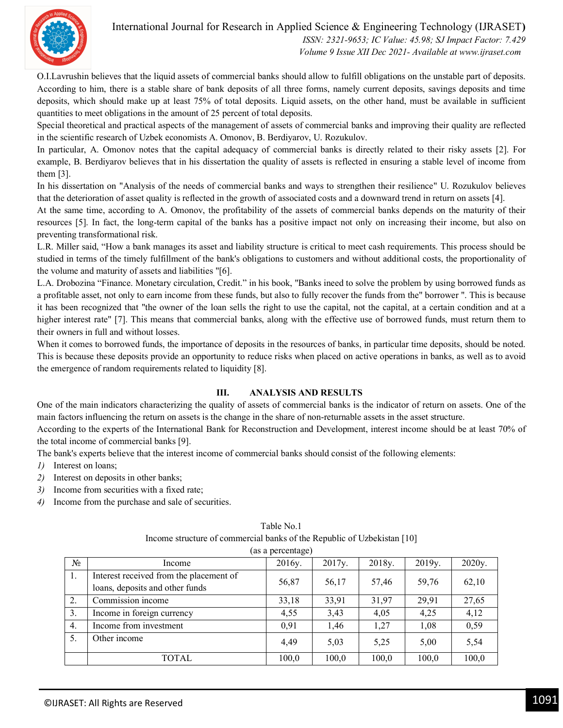

O.I.Lavrushin believes that the liquid assets of commercial banks should allow to fulfill obligations on the unstable part of deposits. According to him, there is a stable share of bank deposits of all three forms, namely current deposits, savings deposits and time deposits, which should make up at least 75% of total deposits. Liquid assets, on the other hand, must be available in sufficient quantities to meet obligations in the amount of 25 percent of total deposits.

Special theoretical and practical aspects of the management of assets of commercial banks and improving their quality are reflected in the scientific research of Uzbek economists A. Omonov, B. Berdiyarov, U. Rozukulov.

In particular, A. Omonov notes that the capital adequacy of commercial banks is directly related to their risky assets [2]. For example, B. Berdiyarov believes that in his dissertation the quality of assets is reflected in ensuring a stable level of income from them [3].

In his dissertation on "Analysis of the needs of commercial banks and ways to strengthen their resilience" U. Rozukulov believes that the deterioration of asset quality is reflected in the growth of associated costs and a downward trend in return on assets [4].

At the same time, according to A. Omonov, the profitability of the assets of commercial banks depends on the maturity of their resources [5]. In fact, the long-term capital of the banks has a positive impact not only on increasing their income, but also on preventing transformational risk.

L.R. Miller said, "How a bank manages its asset and liability structure is critical to meet cash requirements. This process should be studied in terms of the timely fulfillment of the bank's obligations to customers and without additional costs, the proportionality of the volume and maturity of assets and liabilities "[6].

L.A. Drobozina "Finance. Monetary circulation, Credit." in his book, "Banks ineed to solve the problem by using borrowed funds as a profitable asset, not only to earn income from these funds, but also to fully recover the funds from the" borrower ". This is because it has been recognized that "the owner of the loan sells the right to use the capital, not the capital, at a certain condition and at a higher interest rate" [7]. This means that commercial banks, along with the effective use of borrowed funds, must return them to their owners in full and without losses.

When it comes to borrowed funds, the importance of deposits in the resources of banks, in particular time deposits, should be noted. This is because these deposits provide an opportunity to reduce risks when placed on active operations in banks, as well as to avoid the emergence of random requirements related to liquidity [8].

#### **III. ANALYSIS AND RESULTS**

One of the main indicators characterizing the quality of assets of commercial banks is the indicator of return on assets. One of the main factors influencing the return on assets is the change in the share of non-returnable assets in the asset structure.

According to the experts of the International Bank for Reconstruction and Development, interest income should be at least 70% of the total income of commercial banks [9].

The bank's experts believe that the interest income of commercial banks should consist of the following elements:

- *1)* Interest on loans;
- *2)* Interest on deposits in other banks;
- *3)* Income from securities with a fixed rate;
- *4)* Income from the purchase and sale of securities.

| (as a percentage) |                                         |        |        |        |        |        |  |  |  |  |
|-------------------|-----------------------------------------|--------|--------|--------|--------|--------|--|--|--|--|
| $N_2$             | Income                                  | 2016y. | 2017y. | 2018y. | 2019y. | 2020y. |  |  |  |  |
| 1.                | Interest received from the placement of | 56,87  | 56,17  | 57,46  | 59,76  | 62,10  |  |  |  |  |
|                   | loans, deposits and other funds         |        |        |        |        |        |  |  |  |  |
| 2.                | Commission income                       | 33,18  | 33,91  | 31,97  | 29,91  | 27,65  |  |  |  |  |
| 3.                | Income in foreign currency              | 4,55   | 3,43   | 4,05   | 4,25   | 4,12   |  |  |  |  |
| 4.                | Income from investment                  | 0,91   | 1,46   | 1,27   | 1,08   | 0,59   |  |  |  |  |
| 5.                | Other income                            | 4,49   | 5,03   | 5,25   | 5,00   | 5,54   |  |  |  |  |
|                   | TOTAL                                   | 100,0  | 100,0  | 100,0  | 100,0  | 100,0  |  |  |  |  |

#### Table No.1 Income structure of commercial banks of the Republic of Uzbekistan [10]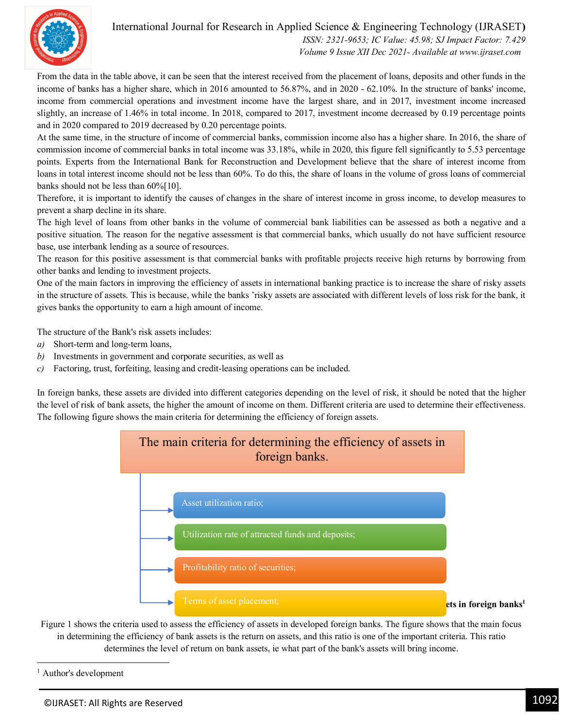

From the data in the table above, it can be seen that the interest received from the placement of loans, deposits and other funds in the income of banks has a higher share, which in 2016 amounted to 56.87%, and in 2020 - 62.10%. In the structure of banks' income, income from commercial operations and investment income have the largest share, and in 2017, investment income increased slightly, an increase of 1.46% in total income. In 2018, compared to 2017, investment income decreased by 0.19 percentage points and in 2020 compared to 2019 decreased by 0.20 percentage points.

At the same time, in the structure of income of commercial banks, commission income also has a higher share. In 2016, the share of commission income of commercial banks in total income was 33.18%, while in 2020, this figure fell significantly to 5.53 percentage points. Experts from the International Bank for Reconstruction and Development believe that the share of interest income from loans in total interest income should not be less than 60%. To do this, the share of loans in the volume of gross loans of commercial banks should not be less than 60%[10].

Therefore, it is important to identify the causes of changes in the share of interest income in gross income, to develop measures to prevent a sharp decline in its share.

The high level of loans from other banks in the volume of commercial bank liabilities can be assessed as both a negative and a positive situation. The reason for the negative assessment is that commercial banks, which usually do not have sufficient resource base, use interbank lending as a source of resources.

The reason for this positive assessment is that commercial banks with profitable projects receive high returns by borrowing from other banks and lending to investment projects.

One of the main factors in improving the efficiency of assets in international banking practice is to increase the share of risky assets in the structure of assets. This is because, while the banks 'risky assets are associated with different levels of loss risk for the bank, it gives banks the opportunity to earn a high amount of income.

The structure of the Bank's risk assets includes:

- *a)* Short-term and long-term loans,
- *b)* Investments in government and corporate securities, as well as
- *c)* Factoring, trust, forfeiting, leasing and credit-leasing operations can be included.

In foreign banks, these assets are divided into different categories depending on the level of risk, it should be noted that the higher the level of risk of bank assets, the higher the amount of income on them. Different criteria are used to determine their effectiveness. The following figure shows the main criteria for determining the efficiency of foreign assets.



Figure 1 shows the criteria used to assess the efficiency of assets in developed foreign banks. The figure shows that the main focus in determining the efficiency of bank assets is the return on assets, and this ratio is one of the important criteria. This ratio determines the level of return on bank assets, ie what part of the bank's assets will bring income.

<sup>1</sup> Author's development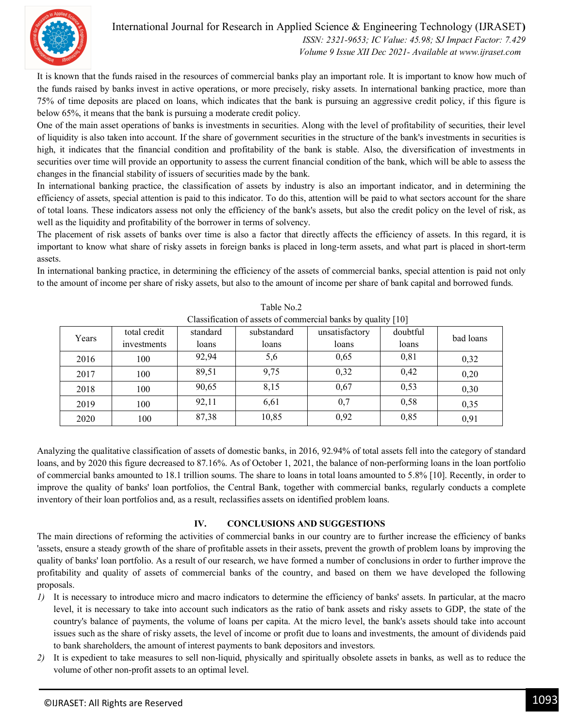

It is known that the funds raised in the resources of commercial banks play an important role. It is important to know how much of the funds raised by banks invest in active operations, or more precisely, risky assets. In international banking practice, more than 75% of time deposits are placed on loans, which indicates that the bank is pursuing an aggressive credit policy, if this figure is below 65%, it means that the bank is pursuing a moderate credit policy.

One of the main asset operations of banks is investments in securities. Along with the level of profitability of securities, their level of liquidity is also taken into account. If the share of government securities in the structure of the bank's investments in securities is high, it indicates that the financial condition and profitability of the bank is stable. Also, the diversification of investments in securities over time will provide an opportunity to assess the current financial condition of the bank, which will be able to assess the changes in the financial stability of issuers of securities made by the bank.

In international banking practice, the classification of assets by industry is also an important indicator, and in determining the efficiency of assets, special attention is paid to this indicator. To do this, attention will be paid to what sectors account for the share of total loans. These indicators assess not only the efficiency of the bank's assets, but also the credit policy on the level of risk, as well as the liquidity and profitability of the borrower in terms of solvency.

The placement of risk assets of banks over time is also a factor that directly affects the efficiency of assets. In this regard, it is important to know what share of risky assets in foreign banks is placed in long-term assets, and what part is placed in short-term assets.

In international banking practice, in determining the efficiency of the assets of commercial banks, special attention is paid not only to the amount of income per share of risky assets, but also to the amount of income per share of bank capital and borrowed funds.

| Chassineation of assets of commercial banks by quality [10] |              |          |             |                |          |           |  |  |  |  |
|-------------------------------------------------------------|--------------|----------|-------------|----------------|----------|-----------|--|--|--|--|
| Years                                                       | total credit | standard | substandard | unsatisfactory | doubtful | bad loans |  |  |  |  |
|                                                             | investments  | loans    | loans       | loans          | loans    |           |  |  |  |  |
| 2016                                                        | 100          | 92,94    | 5,6         | 0,65           | 0,81     | 0,32      |  |  |  |  |
| 2017                                                        | 100          | 89,51    | 9,75        | 0,32           | 0,42     | 0,20      |  |  |  |  |
| 2018                                                        | 100          | 90,65    | 8,15        | 0,67           | 0,53     | 0,30      |  |  |  |  |
| 2019                                                        | 100          | 92,11    | 6,61        | 0,7            | 0,58     | 0,35      |  |  |  |  |
| 2020                                                        | 100          | 87,38    | 10,85       | 0,92           | 0,85     | 0,91      |  |  |  |  |

Table No.2 Classification of assets of commercial banks by quality [10]

Analyzing the qualitative classification of assets of domestic banks, in 2016, 92.94% of total assets fell into the category of standard loans, and by 2020 this figure decreased to 87.16%. As of October 1, 2021, the balance of non-performing loans in the loan portfolio of commercial banks amounted to 18.1 trillion soums. The share to loans in total loans amounted to 5.8% [10]. Recently, in order to improve the quality of banks' loan portfolios, the Central Bank, together with commercial banks, regularly conducts a complete inventory of their loan portfolios and, as a result, reclassifies assets on identified problem loans.

#### **IV. CONCLUSIONS AND SUGGESTIONS**

The main directions of reforming the activities of commercial banks in our country are to further increase the efficiency of banks 'assets, ensure a steady growth of the share of profitable assets in their assets, prevent the growth of problem loans by improving the quality of banks' loan portfolio. As a result of our research, we have formed a number of conclusions in order to further improve the profitability and quality of assets of commercial banks of the country, and based on them we have developed the following proposals.

- *1)* It is necessary to introduce micro and macro indicators to determine the efficiency of banks' assets. In particular, at the macro level, it is necessary to take into account such indicators as the ratio of bank assets and risky assets to GDP, the state of the country's balance of payments, the volume of loans per capita. At the micro level, the bank's assets should take into account issues such as the share of risky assets, the level of income or profit due to loans and investments, the amount of dividends paid to bank shareholders, the amount of interest payments to bank depositors and investors.
- *2)* It is expedient to take measures to sell non-liquid, physically and spiritually obsolete assets in banks, as well as to reduce the volume of other non-profit assets to an optimal level.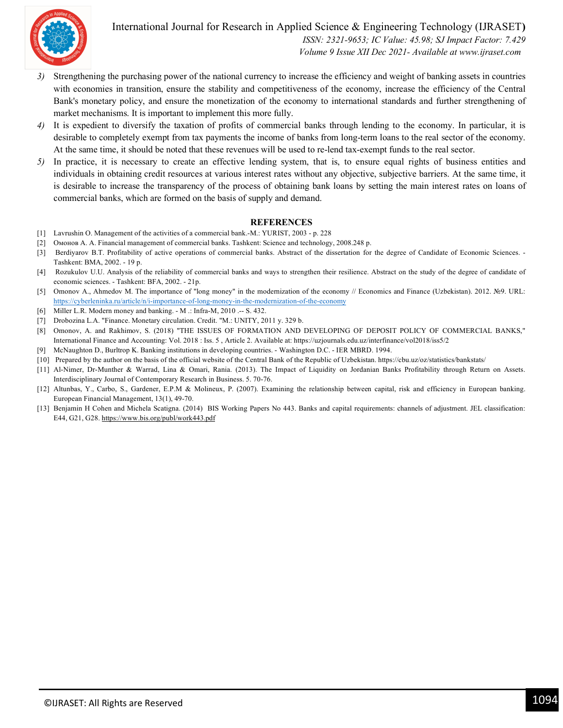

- *3)* Strengthening the purchasing power of the national currency to increase the efficiency and weight of banking assets in countries with economies in transition, ensure the stability and competitiveness of the economy, increase the efficiency of the Central Bank's monetary policy, and ensure the monetization of the economy to international standards and further strengthening of market mechanisms. It is important to implement this more fully.
- *4)* It is expedient to diversify the taxation of profits of commercial banks through lending to the economy. In particular, it is desirable to completely exempt from tax payments the income of banks from long-term loans to the real sector of the economy. At the same time, it should be noted that these revenues will be used to re-lend tax-exempt funds to the real sector.
- *5)* In practice, it is necessary to create an effective lending system, that is, to ensure equal rights of business entities and individuals in obtaining credit resources at various interest rates without any objective, subjective barriers. At the same time, it is desirable to increase the transparency of the process of obtaining bank loans by setting the main interest rates on loans of commercial banks, which are formed on the basis of supply and demand.

#### **REFERENCES**

- [1] Lavrushin O. Management of the activities of a commercial bank.-M.: YURIST, 2003 p. 228
- [2] Омонов А. А. Financial management of commercial banks. Tashkent: Science and technology, 2008.248 p.
- [3] Berdiyarov B.T. Profitability of active operations of commercial banks. Abstract of the dissertation for the degree of Candidate of Economic Sciences. Tashkent: BMA, 2002. - 19 p.
- [4] Rozukulov U.U. Analysis of the reliability of commercial banks and ways to strengthen their resilience. Abstract on the study of the degree of candidate of economic sciences. - Tashkent: BFA, 2002. - 21p.
- [5] Omonov A., Ahmedov M. The importance of "long money" in the modernization of the economy // Economics and Finance (Uzbekistan). 2012. №9. URL: https://cyberleninka.ru/article/n/i-importance-of-long-money-in-the-modernization-of-the-economy
- [6] Miller L.R. Modern money and banking. M .: Infra-M, 2010 .-- S. 432.
- [7] Drobozina L.A. "Finance. Monetary circulation. Credit. "M.: UNITY, 2011 y. 329 b.
- [8] Omonov, A. and Rakhimov, S. (2018) "THE ISSUES OF FORMATION AND DEVELOPING OF DEPOSIT POLICY OF COMMERCIAL BANKS," International Finance and Accounting: Vol. 2018 : Iss. 5 , Article 2. Available at: https://uzjournals.edu.uz/interfinance/vol2018/iss5/2
- [9] McNaughton D., Burltrop K. Banking institutions in developing countries. Washington D.C. IER MBRD. 1994.
- [10] Prepared by the author on the basis of the official website of the Central Bank of the Republic of Uzbekistan. https://cbu.uz/oz/statistics/bankstats/
- [11] Al-Nimer, Dr-Munther & Warrad, Lina & Omari, Rania. (2013). The Impact of Liquidity on Jordanian Banks Profitability through Return on Assets. Interdisciplinary Journal of Contemporary Research in Business. 5. 70-76.
- [12] Altunbas, Y., Carbo, S., Gardener, E.P.M & Molineux, P. (2007). Examining the relationship between capital, risk and efficiency in European banking. European Financial Management, 13(1), 49-70.
- [13] Benjamin H Cohen and Michela Scatigna. (2014) BIS Working Papers No 443. Banks and capital requirements: channels of adjustment. JEL classification: E44, G21, G28. https://www.bis.org/publ/work443.pdf